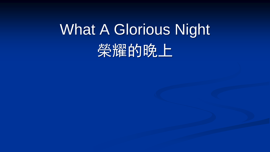## What A Glorious Night<sup>'</sup> 笑耀的晚上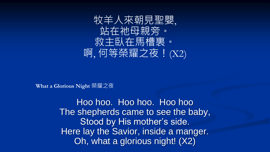

Hoo hoo. Hoo hoo. Hoo hoo The shepherds came to see the baby, Stood by His mother's side. Here lay the Savior, inside a manger. Oh, what a glorious night! (X2)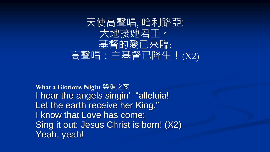

**What a Glorious Night** 榮耀之夜 I hear the angels singin' "alleluia! Let the earth receive her King." I know that Love has come; Sing it out: Jesus Christ is born! (X2) Yeah, yeah!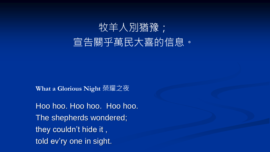

Hoo hoo. Hoo hoo. Hoo hoo. The shepherds wondered; they couldn't hide it , told ev'ry one in sight.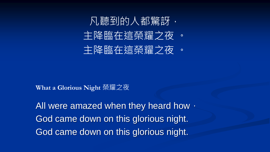

All were amazed when they heard how, God came down on this glorious night. God came down on this glorious night.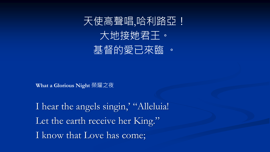

I hear the angels singin,' "Alleluia! Let the earth receive her King." I know that Love has come;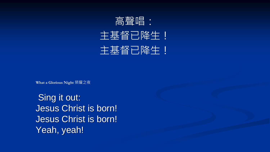

Sing it out: Jesus Christ is born! Jesus Christ is born! Yeah, yeah!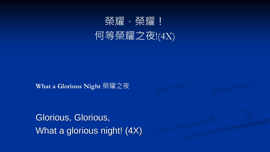

Glorious, Glorious, What a glorious night! (4X)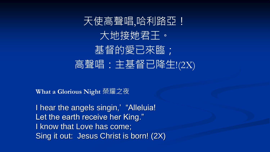## 天使高聲唱,哈利路亞! 大地接她君王。 基督的愛已來臨; 高聲唱:主基督已降生!(2X)

**What a Glorious Night** 榮耀之夜

I hear the angels singin,' "Alleluia! Let the earth receive her King." I know that Love has come; Sing it out: Jesus Christ is born! (2X)